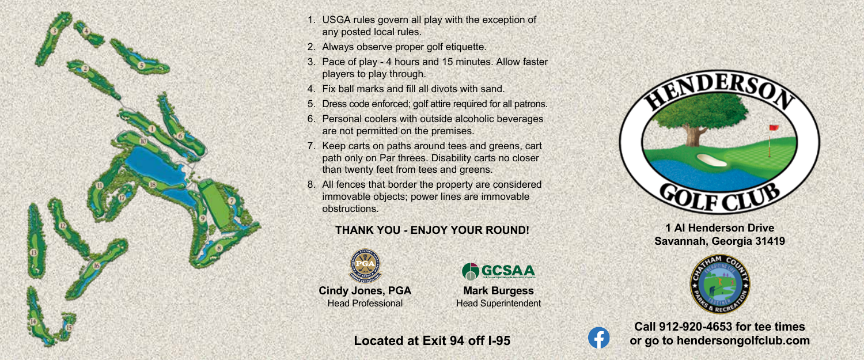

- 1. USGA rules govern all play with the exception of any posted local rules.
- 2. Always observe proper golf etiquette.
- 3. Pace of play 4 hours and 15 minutes. Allow faster players to play through.
- 4. Fix ball marks and fill all divots with sand.
- 5. Dress code enforced; golf attire required for all patrons.
- 6. Personal coolers with outside alcoholic beverages are not permitted on the premises.
- 7. Keep carts on paths around tees and greens, cart path only on Par threes. Disability carts no closer than twenty feet from tees and greens.
- 8. All fences that border the property are considered immovable objects; power lines are immovable obstructions.

## **THANK YOU - ENJOY YOUR ROUND!**



**Cindy Jones, PGA** Head Professional



**Mark Burgess** Head Superintendent

 $\left| \cdot \right|$ 



**1 Al Henderson Drive Savannah, Georgia 31419**



**Call 912-920-4653 for tee times or go to hendersongolfclub.com**

**Located at Exit 94 off I-95**